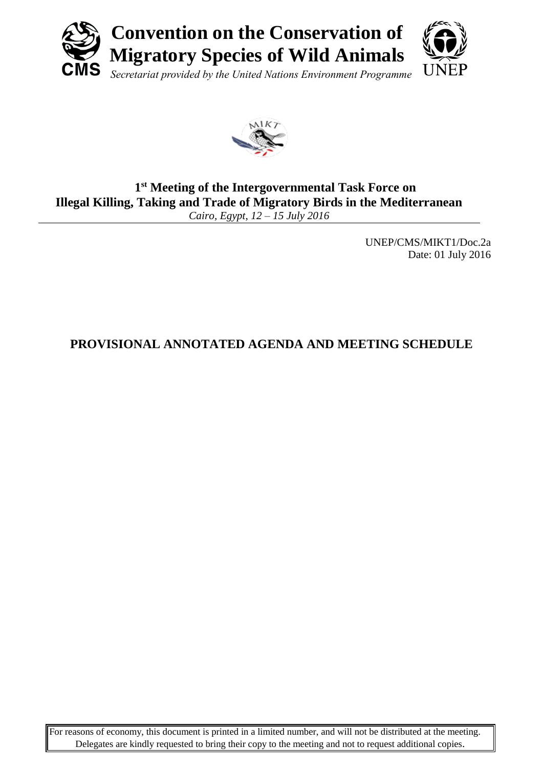



### **1 st Meeting of the Intergovernmental Task Force on Illegal Killing, Taking and Trade of Migratory Birds in the Mediterranean** *Cairo, Egypt, 12 – 15 July 2016*

UNEP/CMS/MIKT1/Doc.2a Date: 01 July 2016

# **PROVISIONAL ANNOTATED AGENDA AND MEETING SCHEDULE**

For reasons of economy, this document is printed in a limited number, and will not be distributed at the meeting. Delegates are kindly requested to bring their copy to the meeting and not to request additional copies.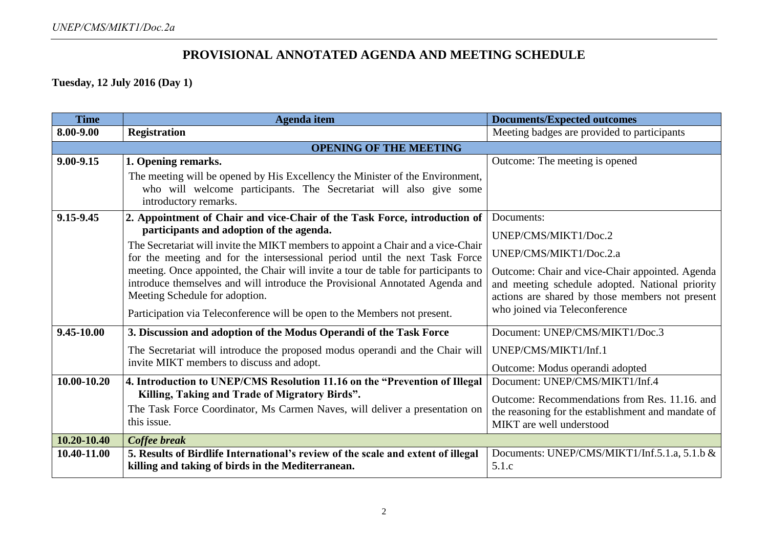### **PROVISIONAL ANNOTATED AGENDA AND MEETING SCHEDULE**

**Tuesday, 12 July 2016 (Day 1)**

| <b>Time</b>     | <b>Agenda</b> item                                                                                                                                                                                   | <b>Documents/Expected outcomes</b>                                                                                                                    |
|-----------------|------------------------------------------------------------------------------------------------------------------------------------------------------------------------------------------------------|-------------------------------------------------------------------------------------------------------------------------------------------------------|
| 8.00-9.00       | <b>Registration</b>                                                                                                                                                                                  | Meeting badges are provided to participants                                                                                                           |
|                 | <b>OPENING OF THE MEETING</b>                                                                                                                                                                        |                                                                                                                                                       |
| $9.00 - 9.15$   | 1. Opening remarks.                                                                                                                                                                                  | Outcome: The meeting is opened                                                                                                                        |
|                 | The meeting will be opened by His Excellency the Minister of the Environment,<br>who will welcome participants. The Secretariat will also give some                                                  |                                                                                                                                                       |
|                 | introductory remarks.                                                                                                                                                                                |                                                                                                                                                       |
| 9.15-9.45       | 2. Appointment of Chair and vice-Chair of the Task Force, introduction of                                                                                                                            | Documents:                                                                                                                                            |
|                 | participants and adoption of the agenda.                                                                                                                                                             | UNEP/CMS/MIKT1/Doc.2                                                                                                                                  |
|                 | The Secretariat will invite the MIKT members to appoint a Chair and a vice-Chair<br>for the meeting and for the intersessional period until the next Task Force                                      | UNEP/CMS/MIKT1/Doc.2.a                                                                                                                                |
|                 | meeting. Once appointed, the Chair will invite a tour de table for participants to<br>introduce themselves and will introduce the Provisional Annotated Agenda and<br>Meeting Schedule for adoption. | Outcome: Chair and vice-Chair appointed. Agenda<br>and meeting schedule adopted. National priority<br>actions are shared by those members not present |
|                 | Participation via Teleconference will be open to the Members not present.                                                                                                                            | who joined via Teleconference                                                                                                                         |
| $9.45 - 10.00$  | 3. Discussion and adoption of the Modus Operandi of the Task Force                                                                                                                                   | Document: UNEP/CMS/MIKT1/Doc.3                                                                                                                        |
|                 | The Secretariat will introduce the proposed modus operandi and the Chair will                                                                                                                        | UNEP/CMS/MIKT1/Inf.1                                                                                                                                  |
|                 | invite MIKT members to discuss and adopt.                                                                                                                                                            | Outcome: Modus operandi adopted                                                                                                                       |
| 10.00-10.20     | 4. Introduction to UNEP/CMS Resolution 11.16 on the "Prevention of Illegal                                                                                                                           | Document: UNEP/CMS/MIKT1/Inf.4                                                                                                                        |
|                 | Killing, Taking and Trade of Migratory Birds".                                                                                                                                                       | Outcome: Recommendations from Res. 11.16. and                                                                                                         |
|                 | The Task Force Coordinator, Ms Carmen Naves, will deliver a presentation on                                                                                                                          | the reasoning for the establishment and mandate of                                                                                                    |
|                 | this issue.                                                                                                                                                                                          | MIKT are well understood                                                                                                                              |
| $10.20 - 10.40$ | Coffee break                                                                                                                                                                                         |                                                                                                                                                       |
| 10.40-11.00     | 5. Results of Birdlife International's review of the scale and extent of illegal<br>killing and taking of birds in the Mediterranean.                                                                | Documents: UNEP/CMS/MIKT1/Inf.5.1.a, 5.1.b &<br>5.1.c                                                                                                 |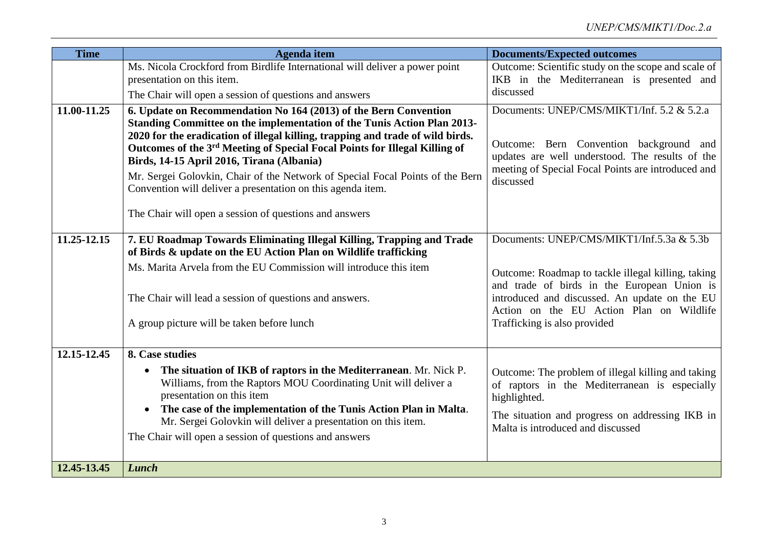| <b>Time</b> | <b>Agenda</b> item                                                                                                                                                       | <b>Documents/Expected outcomes</b>                                                                |
|-------------|--------------------------------------------------------------------------------------------------------------------------------------------------------------------------|---------------------------------------------------------------------------------------------------|
|             | Ms. Nicola Crockford from Birdlife International will deliver a power point                                                                                              | Outcome: Scientific study on the scope and scale of                                               |
|             | presentation on this item.                                                                                                                                               | IKB in the Mediterranean is presented and                                                         |
|             | The Chair will open a session of questions and answers                                                                                                                   | discussed                                                                                         |
| 11.00-11.25 | 6. Update on Recommendation No 164 (2013) of the Bern Convention                                                                                                         | Documents: UNEP/CMS/MIKT1/Inf. 5.2 & 5.2.a                                                        |
|             | Standing Committee on the implementation of the Tunis Action Plan 2013-                                                                                                  |                                                                                                   |
|             | 2020 for the eradication of illegal killing, trapping and trade of wild birds.<br>Outcomes of the 3 <sup>rd</sup> Meeting of Special Focal Points for Illegal Killing of | Outcome: Bern Convention background and                                                           |
|             | Birds, 14-15 April 2016, Tirana (Albania)                                                                                                                                | updates are well understood. The results of the                                                   |
|             | Mr. Sergei Golovkin, Chair of the Network of Special Focal Points of the Bern                                                                                            | meeting of Special Focal Points are introduced and                                                |
|             | Convention will deliver a presentation on this agenda item.                                                                                                              | discussed                                                                                         |
|             |                                                                                                                                                                          |                                                                                                   |
|             | The Chair will open a session of questions and answers                                                                                                                   |                                                                                                   |
| 11.25-12.15 | 7. EU Roadmap Towards Eliminating Illegal Killing, Trapping and Trade                                                                                                    | Documents: UNEP/CMS/MIKT1/Inf.5.3a & 5.3b                                                         |
|             | of Birds & update on the EU Action Plan on Wildlife trafficking                                                                                                          |                                                                                                   |
|             | Ms. Marita Arvela from the EU Commission will introduce this item                                                                                                        |                                                                                                   |
|             |                                                                                                                                                                          | Outcome: Roadmap to tackle illegal killing, taking<br>and trade of birds in the European Union is |
|             | The Chair will lead a session of questions and answers.                                                                                                                  | introduced and discussed. An update on the EU                                                     |
|             |                                                                                                                                                                          | Action on the EU Action Plan on Wildlife                                                          |
|             | A group picture will be taken before lunch                                                                                                                               | Trafficking is also provided                                                                      |
|             |                                                                                                                                                                          |                                                                                                   |
| 12.15-12.45 | 8. Case studies                                                                                                                                                          |                                                                                                   |
|             | The situation of IKB of raptors in the Mediterranean. Mr. Nick P.<br>$\bullet$                                                                                           | Outcome: The problem of illegal killing and taking                                                |
|             | Williams, from the Raptors MOU Coordinating Unit will deliver a                                                                                                          | of raptors in the Mediterranean is especially                                                     |
|             | presentation on this item                                                                                                                                                | highlighted.                                                                                      |
|             | The case of the implementation of the Tunis Action Plan in Malta.<br>$\bullet$<br>Mr. Sergei Golovkin will deliver a presentation on this item.                          | The situation and progress on addressing IKB in                                                   |
|             | The Chair will open a session of questions and answers                                                                                                                   | Malta is introduced and discussed                                                                 |
|             |                                                                                                                                                                          |                                                                                                   |
| 12.45-13.45 | <b>Lunch</b>                                                                                                                                                             |                                                                                                   |
|             |                                                                                                                                                                          |                                                                                                   |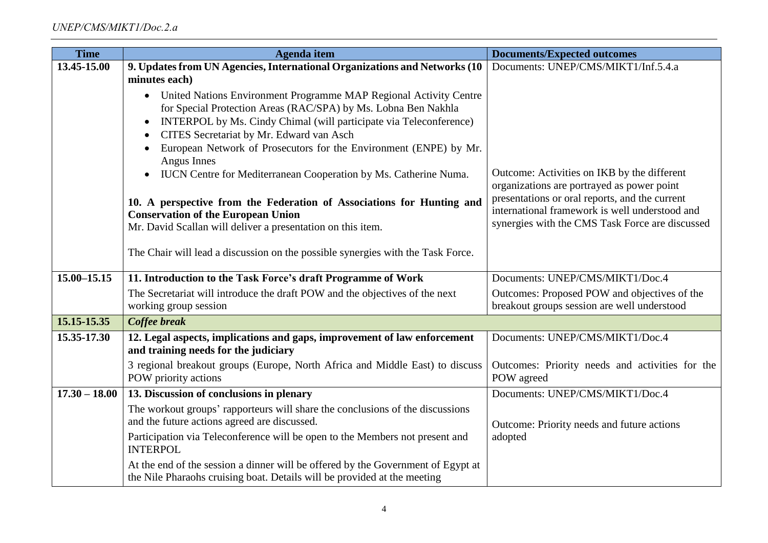| <b>Time</b>     | Agenda item                                                                                              | <b>Documents/Expected outcomes</b>                                                               |
|-----------------|----------------------------------------------------------------------------------------------------------|--------------------------------------------------------------------------------------------------|
| 13.45-15.00     | 9. Updates from UN Agencies, International Organizations and Networks (10                                | Documents: UNEP/CMS/MIKT1/Inf.5.4.a                                                              |
|                 | minutes each)                                                                                            |                                                                                                  |
|                 | United Nations Environment Programme MAP Regional Activity Centre<br>$\bullet$                           |                                                                                                  |
|                 | for Special Protection Areas (RAC/SPA) by Ms. Lobna Ben Nakhla                                           |                                                                                                  |
|                 | INTERPOL by Ms. Cindy Chimal (will participate via Teleconference)<br>$\bullet$                          |                                                                                                  |
|                 | CITES Secretariat by Mr. Edward van Asch<br>c                                                            |                                                                                                  |
|                 | European Network of Prosecutors for the Environment (ENPE) by Mr.<br>Angus Innes                         |                                                                                                  |
|                 | IUCN Centre for Mediterranean Cooperation by Ms. Catherine Numa.<br>$\bullet$                            | Outcome: Activities on IKB by the different<br>organizations are portrayed as power point        |
|                 | 10. A perspective from the Federation of Associations for Hunting and                                    | presentations or oral reports, and the current<br>international framework is well understood and |
|                 | <b>Conservation of the European Union</b><br>Mr. David Scallan will deliver a presentation on this item. | synergies with the CMS Task Force are discussed                                                  |
|                 |                                                                                                          |                                                                                                  |
|                 | The Chair will lead a discussion on the possible synergies with the Task Force.                          |                                                                                                  |
| 15.00-15.15     | 11. Introduction to the Task Force's draft Programme of Work                                             | Documents: UNEP/CMS/MIKT1/Doc.4                                                                  |
|                 | The Secretariat will introduce the draft POW and the objectives of the next                              | Outcomes: Proposed POW and objectives of the                                                     |
|                 | working group session                                                                                    | breakout groups session are well understood                                                      |
| 15.15-15.35     | Coffee break                                                                                             |                                                                                                  |
| 15.35-17.30     | 12. Legal aspects, implications and gaps, improvement of law enforcement                                 | Documents: UNEP/CMS/MIKT1/Doc.4                                                                  |
|                 | and training needs for the judiciary                                                                     |                                                                                                  |
|                 | 3 regional breakout groups (Europe, North Africa and Middle East) to discuss                             | Outcomes: Priority needs and activities for the                                                  |
|                 | POW priority actions                                                                                     | POW agreed                                                                                       |
| $17.30 - 18.00$ | 13. Discussion of conclusions in plenary                                                                 | Documents: UNEP/CMS/MIKT1/Doc.4                                                                  |
|                 | The workout groups' rapporteurs will share the conclusions of the discussions                            |                                                                                                  |
|                 | and the future actions agreed are discussed.                                                             | Outcome: Priority needs and future actions                                                       |
|                 | Participation via Teleconference will be open to the Members not present and<br><b>INTERPOL</b>          | adopted                                                                                          |
|                 | At the end of the session a dinner will be offered by the Government of Egypt at                         |                                                                                                  |
|                 | the Nile Pharaohs cruising boat. Details will be provided at the meeting                                 |                                                                                                  |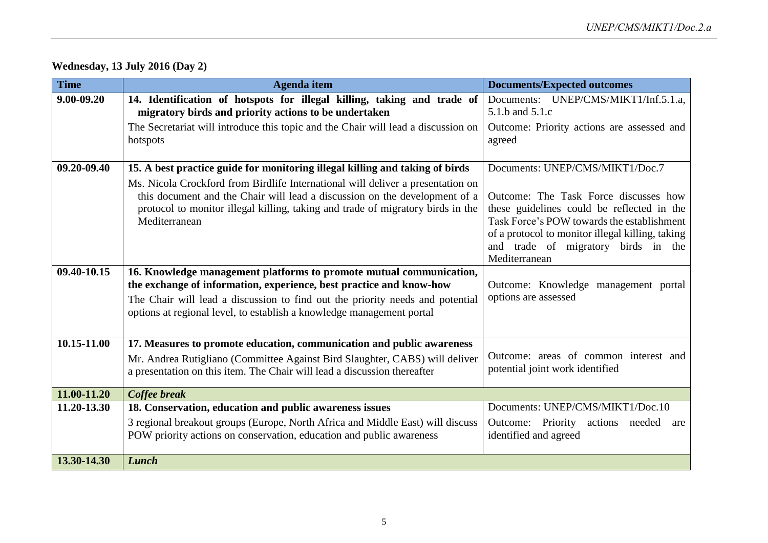| <b>Time</b> | Agenda item                                                                                                                                                                                                                                                                                                                                                                                                                                                                                      | <b>Documents/Expected outcomes</b>                                                                                                                                                                                                                                                                            |
|-------------|--------------------------------------------------------------------------------------------------------------------------------------------------------------------------------------------------------------------------------------------------------------------------------------------------------------------------------------------------------------------------------------------------------------------------------------------------------------------------------------------------|---------------------------------------------------------------------------------------------------------------------------------------------------------------------------------------------------------------------------------------------------------------------------------------------------------------|
| 9.00-09.20  | 14. Identification of hotspots for illegal killing, taking and trade of<br>migratory birds and priority actions to be undertaken                                                                                                                                                                                                                                                                                                                                                                 | Documents: UNEP/CMS/MIKT1/Inf.5.1.a.<br>5.1.b and 5.1.c                                                                                                                                                                                                                                                       |
|             | The Secretariat will introduce this topic and the Chair will lead a discussion on<br>hotspots                                                                                                                                                                                                                                                                                                                                                                                                    | Outcome: Priority actions are assessed and<br>agreed                                                                                                                                                                                                                                                          |
| 09.20-09.40 | 15. A best practice guide for monitoring illegal killing and taking of birds                                                                                                                                                                                                                                                                                                                                                                                                                     | Documents: UNEP/CMS/MIKT1/Doc.7                                                                                                                                                                                                                                                                               |
| 09.40-10.15 | Ms. Nicola Crockford from Birdlife International will deliver a presentation on<br>this document and the Chair will lead a discussion on the development of a<br>protocol to monitor illegal killing, taking and trade of migratory birds in the<br>Mediterranean<br>16. Knowledge management platforms to promote mutual communication,<br>the exchange of information, experience, best practice and know-how<br>The Chair will lead a discussion to find out the priority needs and potential | Outcome: The Task Force discusses how<br>these guidelines could be reflected in the<br>Task Force's POW towards the establishment<br>of a protocol to monitor illegal killing, taking<br>and trade of migratory birds in the<br>Mediterranean<br>Outcome: Knowledge management portal<br>options are assessed |
|             | options at regional level, to establish a knowledge management portal                                                                                                                                                                                                                                                                                                                                                                                                                            |                                                                                                                                                                                                                                                                                                               |
| 10.15-11.00 | 17. Measures to promote education, communication and public awareness                                                                                                                                                                                                                                                                                                                                                                                                                            |                                                                                                                                                                                                                                                                                                               |
|             | Mr. Andrea Rutigliano (Committee Against Bird Slaughter, CABS) will deliver<br>a presentation on this item. The Chair will lead a discussion thereafter                                                                                                                                                                                                                                                                                                                                          | Outcome: areas of common interest and<br>potential joint work identified                                                                                                                                                                                                                                      |
| 11.00-11.20 | Coffee break                                                                                                                                                                                                                                                                                                                                                                                                                                                                                     |                                                                                                                                                                                                                                                                                                               |
| 11.20-13.30 | 18. Conservation, education and public awareness issues                                                                                                                                                                                                                                                                                                                                                                                                                                          | Documents: UNEP/CMS/MIKT1/Doc.10                                                                                                                                                                                                                                                                              |
|             | 3 regional breakout groups (Europe, North Africa and Middle East) will discuss<br>POW priority actions on conservation, education and public awareness                                                                                                                                                                                                                                                                                                                                           | Outcome: Priority actions needed are<br>identified and agreed                                                                                                                                                                                                                                                 |
| 13.30-14.30 | <b>Lunch</b>                                                                                                                                                                                                                                                                                                                                                                                                                                                                                     |                                                                                                                                                                                                                                                                                                               |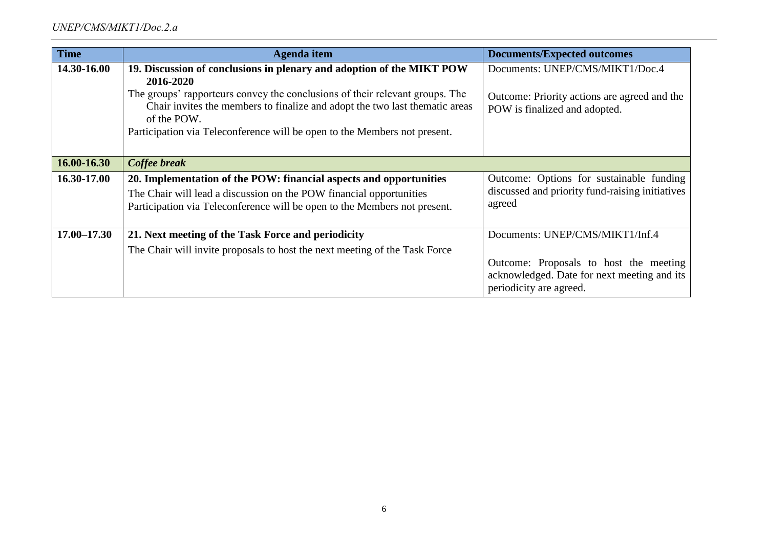| <b>Time</b>     | Agenda item                                                                                                                                                                | <b>Documents/Expected outcomes</b>                                                                               |
|-----------------|----------------------------------------------------------------------------------------------------------------------------------------------------------------------------|------------------------------------------------------------------------------------------------------------------|
| 14.30-16.00     | 19. Discussion of conclusions in plenary and adoption of the MIKT POW                                                                                                      | Documents: UNEP/CMS/MIKT1/Doc.4                                                                                  |
|                 | 2016-2020                                                                                                                                                                  |                                                                                                                  |
|                 | The groups' rapporteurs convey the conclusions of their relevant groups. The<br>Chair invites the members to finalize and adopt the two last thematic areas<br>of the POW. | Outcome: Priority actions are agreed and the<br>POW is finalized and adopted.                                    |
|                 | Participation via Teleconference will be open to the Members not present.                                                                                                  |                                                                                                                  |
|                 |                                                                                                                                                                            |                                                                                                                  |
| 16.00-16.30     | Coffee break                                                                                                                                                               |                                                                                                                  |
| 16.30-17.00     | 20. Implementation of the POW: financial aspects and opportunities                                                                                                         | Outcome: Options for sustainable funding                                                                         |
|                 | The Chair will lead a discussion on the POW financial opportunities                                                                                                        | discussed and priority fund-raising initiatives                                                                  |
|                 | Participation via Teleconference will be open to the Members not present.                                                                                                  | agreed                                                                                                           |
|                 |                                                                                                                                                                            |                                                                                                                  |
| $17.00 - 17.30$ | 21. Next meeting of the Task Force and periodicity                                                                                                                         | Documents: UNEP/CMS/MIKT1/Inf.4                                                                                  |
|                 | The Chair will invite proposals to host the next meeting of the Task Force                                                                                                 |                                                                                                                  |
|                 |                                                                                                                                                                            | Outcome: Proposals to host the meeting<br>acknowledged. Date for next meeting and its<br>periodicity are agreed. |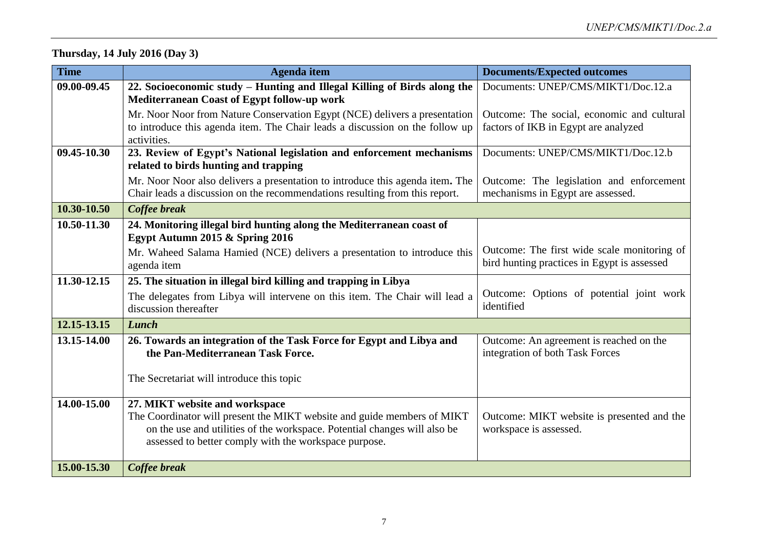# **Thursday, 14 July 2016 (Day 3)**

| <b>Time</b> | <b>Agenda</b> item                                                                                                                                                                                            | <b>Documents/Expected outcomes</b>                                                         |
|-------------|---------------------------------------------------------------------------------------------------------------------------------------------------------------------------------------------------------------|--------------------------------------------------------------------------------------------|
| 09.00-09.45 | 22. Socioeconomic study - Hunting and Illegal Killing of Birds along the<br>Mediterranean Coast of Egypt follow-up work                                                                                       | Documents: UNEP/CMS/MIKT1/Doc.12.a                                                         |
|             | Mr. Noor Noor from Nature Conservation Egypt (NCE) delivers a presentation                                                                                                                                    | Outcome: The social, economic and cultural                                                 |
|             | to introduce this agenda item. The Chair leads a discussion on the follow up<br>activities.                                                                                                                   | factors of IKB in Egypt are analyzed                                                       |
| 09.45-10.30 | 23. Review of Egypt's National legislation and enforcement mechanisms                                                                                                                                         | Documents: UNEP/CMS/MIKT1/Doc.12.b                                                         |
|             | related to birds hunting and trapping                                                                                                                                                                         |                                                                                            |
|             | Mr. Noor Noor also delivers a presentation to introduce this agenda item. The                                                                                                                                 | Outcome: The legislation and enforcement                                                   |
|             | Chair leads a discussion on the recommendations resulting from this report.                                                                                                                                   | mechanisms in Egypt are assessed.                                                          |
| 10.30-10.50 | Coffee break                                                                                                                                                                                                  |                                                                                            |
| 10.50-11.30 | 24. Monitoring illegal bird hunting along the Mediterranean coast of<br>Egypt Autumn 2015 & Spring 2016                                                                                                       |                                                                                            |
|             | Mr. Waheed Salama Hamied (NCE) delivers a presentation to introduce this                                                                                                                                      | Outcome: The first wide scale monitoring of<br>bird hunting practices in Egypt is assessed |
|             | agenda item                                                                                                                                                                                                   |                                                                                            |
| 11.30-12.15 | 25. The situation in illegal bird killing and trapping in Libya                                                                                                                                               |                                                                                            |
|             | The delegates from Libya will intervene on this item. The Chair will lead a<br>discussion thereafter                                                                                                          | Outcome: Options of potential joint work<br>identified                                     |
| 12.15-13.15 | Lunch                                                                                                                                                                                                         |                                                                                            |
| 13.15-14.00 | 26. Towards an integration of the Task Force for Egypt and Libya and<br>the Pan-Mediterranean Task Force.                                                                                                     | Outcome: An agreement is reached on the<br>integration of both Task Forces                 |
|             | The Secretariat will introduce this topic                                                                                                                                                                     |                                                                                            |
| 14.00-15.00 | 27. MIKT website and workspace                                                                                                                                                                                |                                                                                            |
|             | The Coordinator will present the MIKT website and guide members of MIKT<br>on the use and utilities of the workspace. Potential changes will also be<br>assessed to better comply with the workspace purpose. | Outcome: MIKT website is presented and the<br>workspace is assessed.                       |
| 15.00-15.30 | Coffee break                                                                                                                                                                                                  |                                                                                            |